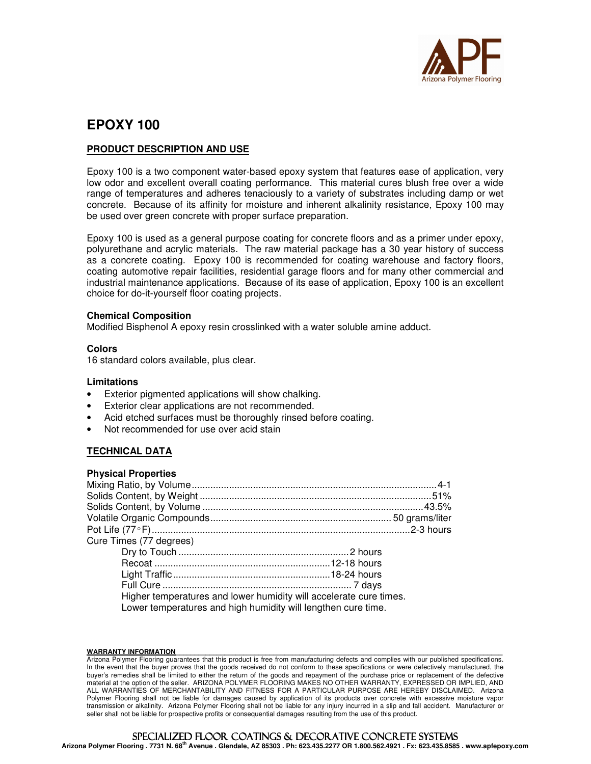

# **EPOXY 100**

## **PRODUCT DESCRIPTION AND USE**

Epoxy 100 is a two component water-based epoxy system that features ease of application, very low odor and excellent overall coating performance. This material cures blush free over a wide range of temperatures and adheres tenaciously to a variety of substrates including damp or wet concrete. Because of its affinity for moisture and inherent alkalinity resistance, Epoxy 100 may be used over green concrete with proper surface preparation.

Epoxy 100 is used as a general purpose coating for concrete floors and as a primer under epoxy, polyurethane and acrylic materials. The raw material package has a 30 year history of success as a concrete coating. Epoxy 100 is recommended for coating warehouse and factory floors, coating automotive repair facilities, residential garage floors and for many other commercial and industrial maintenance applications. Because of its ease of application, Epoxy 100 is an excellent choice for do-it-yourself floor coating projects.

#### **Chemical Composition**

Modified Bisphenol A epoxy resin crosslinked with a water soluble amine adduct.

#### **Colors**

16 standard colors available, plus clear.

#### **Limitations**

- Exterior pigmented applications will show chalking.
- Exterior clear applications are not recommended.
- Acid etched surfaces must be thoroughly rinsed before coating.
- Not recommended for use over acid stain

## **TECHNICAL DATA**

#### **Physical Properties**

| Higher temperatures and lower humidity will accelerate cure times. |  |  |
|--------------------------------------------------------------------|--|--|
| Lower temperatures and high humidity will lengthen cure time.      |  |  |
|                                                                    |  |  |

#### WARRANTY INFORMATION

Arizona Polymer Flooring guarantees that this product is free from manufacturing defects and complies with our published specifications. In the event that the buyer proves that the goods received do not conform to these specifications or were defectively manufactured, the buyer's remedies shall be limited to either the return of the goods and repayment of the purchase price or replacement of the defective material at the option of the seller. ARIZONA POLYMER FLOORING MAKES NO OTHER WARRANTY, EXPRESSED OR IMPLIED, AND ALL WARRANTIES OF MERCHANTABILITY AND FITNESS FOR A PARTICULAR PURPOSE ARE HEREBY DISCLAIMED. Arizona Polymer Flooring shall not be liable for damages caused by application of its products over concrete with excessive moisture vapor transmission or alkalinity. Arizona Polymer Flooring shall not be liable for any injury incurred in a slip and fall accident. Manufacturer or seller shall not be liable for prospective profits or consequential damages resulting from the use of this product.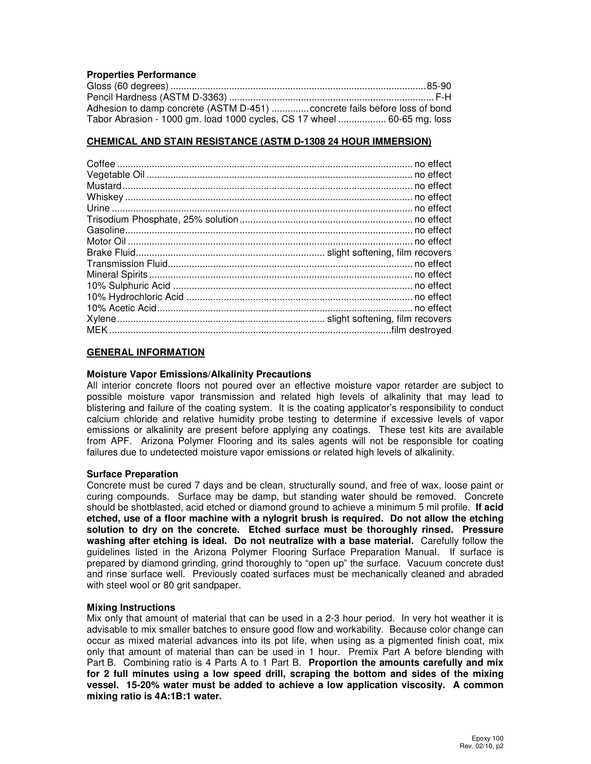### **Properties Performance**

| Adhesion to damp concrete (ASTM D-451) concrete fails before loss of bond |  |
|---------------------------------------------------------------------------|--|
| Tabor Abrasion - 1000 gm. load 1000 cycles, CS 17 wheel  60-65 mg. loss   |  |

#### **CHEMICAL AND STAIN RESISTANCE (ASTM D-1308 24 HOUR IMMERSION)**

#### **GENERAL INFORMATION**

#### **Moisture Vapor Emissions/Alkalinity Precautions**

All interior concrete floors not poured over an effective moisture vapor retarder are subject to possible moisture vapor transmission and related high levels of alkalinity that may lead to blistering and failure of the coating system. It is the coating applicator's responsibility to conduct calcium chloride and relative humidity probe testing to determine if excessive levels of vapor emissions or alkalinity are present before applying any coatings. These test kits are available from APF. Arizona Polymer Flooring and its sales agents will not be responsible for coating failures due to undetected moisture vapor emissions or related high levels of alkalinity.

#### **Surface Preparation**

Concrete must be cured 7 days and be clean, structurally sound, and free of wax, loose paint or curing compounds. Surface may be damp, but standing water should be removed. Concrete should be shotblasted, acid etched or diamond ground to achieve a minimum 5 mil profile. **If acid etched, use of a floor machine with a nylogrit brush is required. Do not allow the etching solution to dry on the concrete. Etched surface must be thoroughly rinsed. Pressure washing after etching is ideal. Do not neutralize with a base material.** Carefully follow the guidelines listed in the Arizona Polymer Flooring Surface Preparation Manual. If surface is prepared by diamond grinding, grind thoroughly to "open up" the surface. Vacuum concrete dust and rinse surface well. Previously coated surfaces must be mechanically cleaned and abraded with steel wool or 80 grit sandpaper.

#### **Mixing Instructions**

Mix only that amount of material that can be used in a 2-3 hour period. In very hot weather it is advisable to mix smaller batches to ensure good flow and workability. Because color change can occur as mixed material advances into its pot life, when using as a pigmented finish coat, mix only that amount of material than can be used in 1 hour. Premix Part A before blending with Part B. Combining ratio is 4 Parts A to 1 Part B. **Proportion the amounts carefully and mix for 2 full minutes using a low speed drill, scraping the bottom and sides of the mixing vessel. 15-20% water must be added to achieve a low application viscosity. A common mixing ratio is 4A:1B:1 water.**